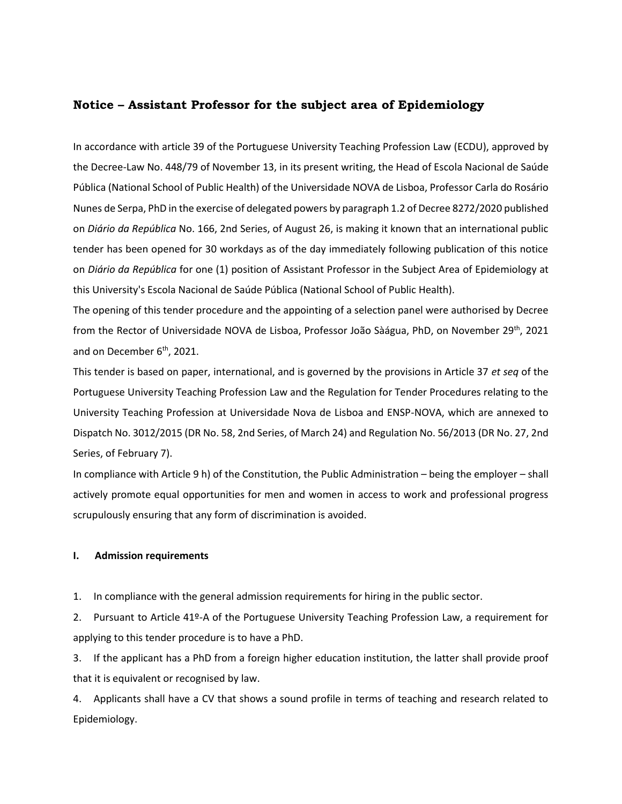# **Notice – Assistant Professor for the subject area of Epidemiology**

In accordance with article 39 of the Portuguese University Teaching Profession Law (ECDU), approved by the Decree-Law No. 448/79 of November 13, in its present writing, the Head of Escola Nacional de Saúde Pública (National School of Public Health) of the Universidade NOVA de Lisboa, Professor Carla do Rosário Nunes de Serpa, PhD in the exercise of delegated powers by paragraph 1.2 of Decree 8272/2020 published on *Diário da República* No. 166, 2nd Series, of August 26, is making it known that an international public tender has been opened for 30 workdays as of the day immediately following publication of this notice on *Diário da República* for one (1) position of Assistant Professor in the Subject Area of Epidemiology at this University's Escola Nacional de Saúde Pública (National School of Public Health).

The opening of this tender procedure and the appointing of a selection panel were authorised by Decree from the Rector of Universidade NOVA de Lisboa, Professor João Sàágua, PhD, on November 29<sup>th</sup>, 2021 and on December 6<sup>th</sup>, 2021.

This tender is based on paper, international, and is governed by the provisions in Article 37 *et seq* of the Portuguese University Teaching Profession Law and the Regulation for Tender Procedures relating to the University Teaching Profession at Universidade Nova de Lisboa and ENSP-NOVA, which are annexed to Dispatch No. 3012/2015 (DR No. 58, 2nd Series, of March 24) and Regulation No. 56/2013 (DR No. 27, 2nd Series, of February 7).

In compliance with Article 9 h) of the Constitution, the Public Administration – being the employer – shall actively promote equal opportunities for men and women in access to work and professional progress scrupulously ensuring that any form of discrimination is avoided.

#### **I. Admission requirements**

1. In compliance with the general admission requirements for hiring in the public sector.

2. Pursuant to Article 41º-A of the Portuguese University Teaching Profession Law, a requirement for applying to this tender procedure is to have a PhD.

3. If the applicant has a PhD from a foreign higher education institution, the latter shall provide proof that it is equivalent or recognised by law.

4. Applicants shall have a CV that shows a sound profile in terms of teaching and research related to Epidemiology.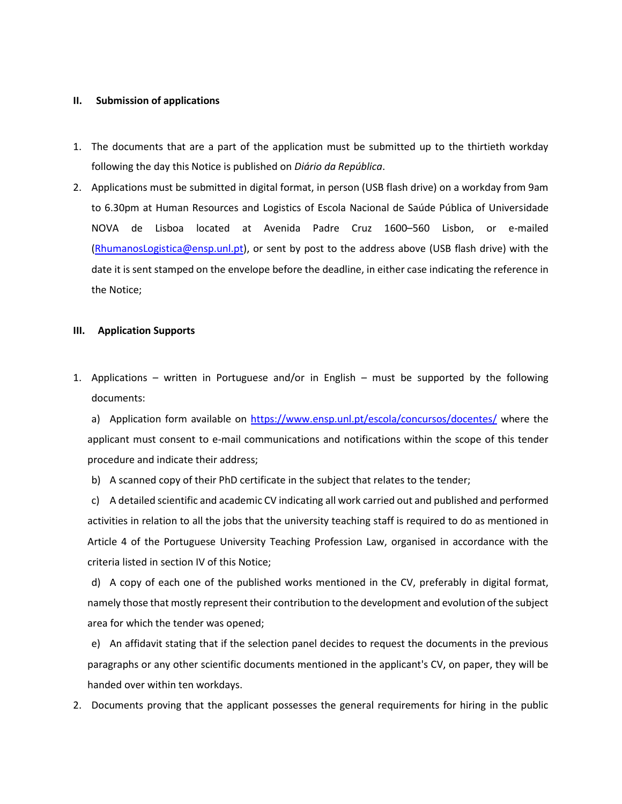### **II. Submission of applications**

- 1. The documents that are a part of the application must be submitted up to the thirtieth workday following the day this Notice is published on *Diário da República*.
- 2. Applications must be submitted in digital format, in person (USB flash drive) on a workday from 9am to 6.30pm at Human Resources and Logistics of Escola Nacional de Saúde Pública of Universidade NOVA de Lisboa located at Avenida Padre Cruz 1600–560 Lisbon, or e-mailed [\(RhumanosLogistica@ensp.unl.pt\)](mailto:RhumanosLogistica@ensp.unl.pt), or sent by post to the address above (USB flash drive) with the date it is sent stamped on the envelope before the deadline, in either case indicating the reference in the Notice;

### **III. Application Supports**

1. Applications – written in Portuguese and/or in English – must be supported by the following documents:

a) Application form available on<https://www.ensp.unl.pt/escola/concursos/docentes/> where the applicant must consent to e-mail communications and notifications within the scope of this tender procedure and indicate their address;

b) A scanned copy of their PhD certificate in the subject that relates to the tender;

c) A detailed scientific and academic CV indicating all work carried out and published and performed activities in relation to all the jobs that the university teaching staff is required to do as mentioned in Article 4 of the Portuguese University Teaching Profession Law, organised in accordance with the criteria listed in section IV of this Notice;

d) A copy of each one of the published works mentioned in the CV, preferably in digital format, namely those that mostly represent their contribution to the development and evolution of the subject area for which the tender was opened;

e) An affidavit stating that if the selection panel decides to request the documents in the previous paragraphs or any other scientific documents mentioned in the applicant's CV, on paper, they will be handed over within ten workdays.

2. Documents proving that the applicant possesses the general requirements for hiring in the public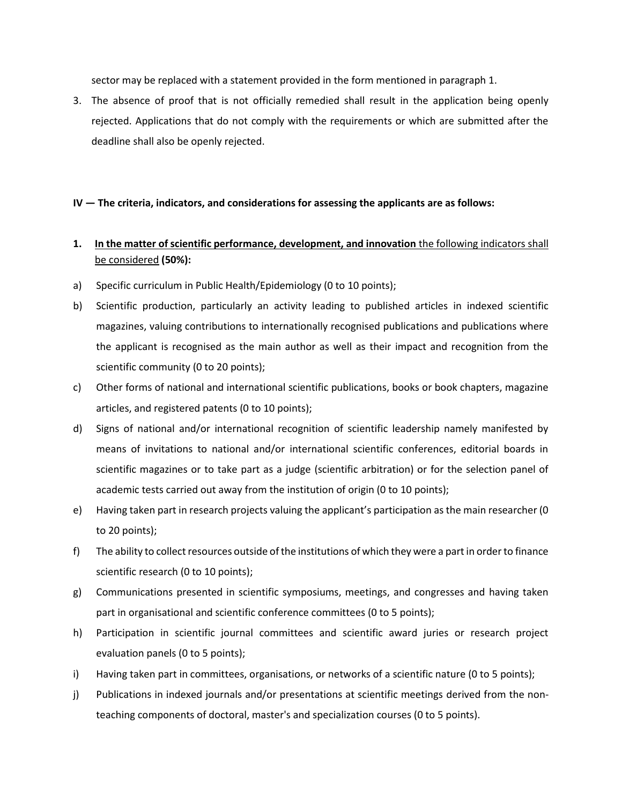sector may be replaced with a statement provided in the form mentioned in paragraph 1.

3. The absence of proof that is not officially remedied shall result in the application being openly rejected. Applications that do not comply with the requirements or which are submitted after the deadline shall also be openly rejected.

## **IV — The criteria, indicators, and considerations for assessing the applicants are as follows:**

# **1. In the matter of scientific performance, development, and innovation** the following indicators shall be considered **(50%):**

- a) Specific curriculum in Public Health/Epidemiology (0 to 10 points);
- b) Scientific production, particularly an activity leading to published articles in indexed scientific magazines, valuing contributions to internationally recognised publications and publications where the applicant is recognised as the main author as well as their impact and recognition from the scientific community (0 to 20 points);
- c) Other forms of national and international scientific publications, books or book chapters, magazine articles, and registered patents (0 to 10 points);
- d) Signs of national and/or international recognition of scientific leadership namely manifested by means of invitations to national and/or international scientific conferences, editorial boards in scientific magazines or to take part as a judge (scientific arbitration) or for the selection panel of academic tests carried out away from the institution of origin (0 to 10 points);
- e) Having taken part in research projects valuing the applicant's participation as the main researcher (0 to 20 points);
- f) The ability to collect resources outside of the institutions of which they were a part in order to finance scientific research (0 to 10 points);
- g) Communications presented in scientific symposiums, meetings, and congresses and having taken part in organisational and scientific conference committees (0 to 5 points);
- h) Participation in scientific journal committees and scientific award juries or research project evaluation panels (0 to 5 points);
- i) Having taken part in committees, organisations, or networks of a scientific nature (0 to 5 points);
- j) Publications in indexed journals and/or presentations at scientific meetings derived from the nonteaching components of doctoral, master's and specialization courses (0 to 5 points).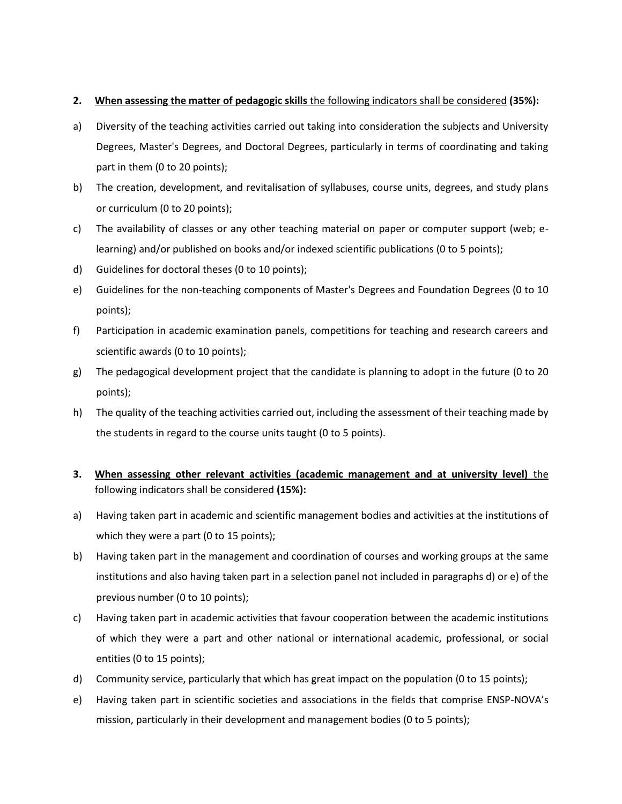# **2. When assessing the matter of pedagogic skills** the following indicators shall be considered **(35%):**

- a) Diversity of the teaching activities carried out taking into consideration the subjects and University Degrees, Master's Degrees, and Doctoral Degrees, particularly in terms of coordinating and taking part in them (0 to 20 points);
- b) The creation, development, and revitalisation of syllabuses, course units, degrees, and study plans or curriculum (0 to 20 points);
- c) The availability of classes or any other teaching material on paper or computer support (web; elearning) and/or published on books and/or indexed scientific publications (0 to 5 points);
- d) Guidelines for doctoral theses (0 to 10 points);
- e) Guidelines for the non-teaching components of Master's Degrees and Foundation Degrees (0 to 10 points);
- f) Participation in academic examination panels, competitions for teaching and research careers and scientific awards (0 to 10 points);
- g) The pedagogical development project that the candidate is planning to adopt in the future (0 to 20 points);
- h) The quality of the teaching activities carried out, including the assessment of their teaching made by the students in regard to the course units taught (0 to 5 points).

# **3. When assessing other relevant activities (academic management and at university level)** the following indicators shall be considered **(15%):**

- a) Having taken part in academic and scientific management bodies and activities at the institutions of which they were a part (0 to 15 points);
- b) Having taken part in the management and coordination of courses and working groups at the same institutions and also having taken part in a selection panel not included in paragraphs d) or e) of the previous number (0 to 10 points);
- c) Having taken part in academic activities that favour cooperation between the academic institutions of which they were a part and other national or international academic, professional, or social entities (0 to 15 points);
- d) Community service, particularly that which has great impact on the population (0 to 15 points);
- e) Having taken part in scientific societies and associations in the fields that comprise ENSP-NOVA's mission, particularly in their development and management bodies (0 to 5 points);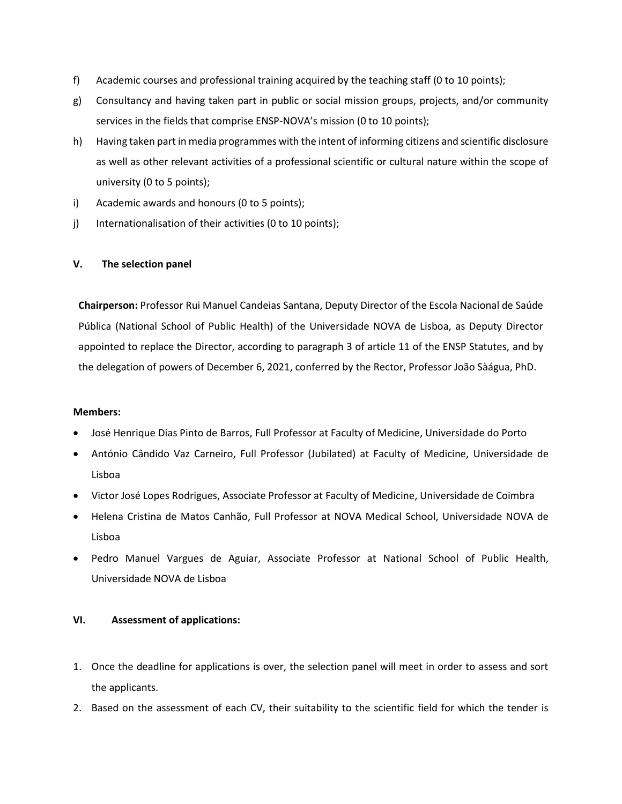- f) Academic courses and professional training acquired by the teaching staff (0 to 10 points);
- g) Consultancy and having taken part in public or social mission groups, projects, and/or community services in the fields that comprise ENSP-NOVA's mission (0 to 10 points);
- h) Having taken part in media programmes with the intent of informing citizens and scientific disclosure as well as other relevant activities of a professional scientific or cultural nature within the scope of university (0 to 5 points);
- i) Academic awards and honours (0 to 5 points);
- j) Internationalisation of their activities (0 to 10 points);

## **V. The selection panel**

**Chairperson:** Professor Rui Manuel Candeias Santana, Deputy Director of the Escola Nacional de Saúde Pública (National School of Public Health) of the Universidade NOVA de Lisboa, as Deputy Director appointed to replace the Director, according to paragraph 3 of article 11 of the ENSP Statutes, and by the delegation of powers of December 6, 2021, conferred by the Rector, Professor João Sàágua, PhD.

#### **Members:**

- José Henrique Dias Pinto de Barros, Full Professor at Faculty of Medicine, Universidade do Porto
- António Cândido Vaz Carneiro, Full Professor (Jubilated) at Faculty of Medicine, Universidade de Lisboa
- Victor José Lopes Rodrigues, Associate Professor at Faculty of Medicine, Universidade de Coimbra
- Helena Cristina de Matos Canhão, Full Professor at NOVA Medical School, Universidade NOVA de Lisboa
- Pedro Manuel Vargues de Aguiar, Associate Professor at National School of Public Health, Universidade NOVA de Lisboa

## **VI. Assessment of applications:**

- 1. Once the deadline for applications is over, the selection panel will meet in order to assess and sort the applicants.
- 2. Based on the assessment of each CV, their suitability to the scientific field for which the tender is